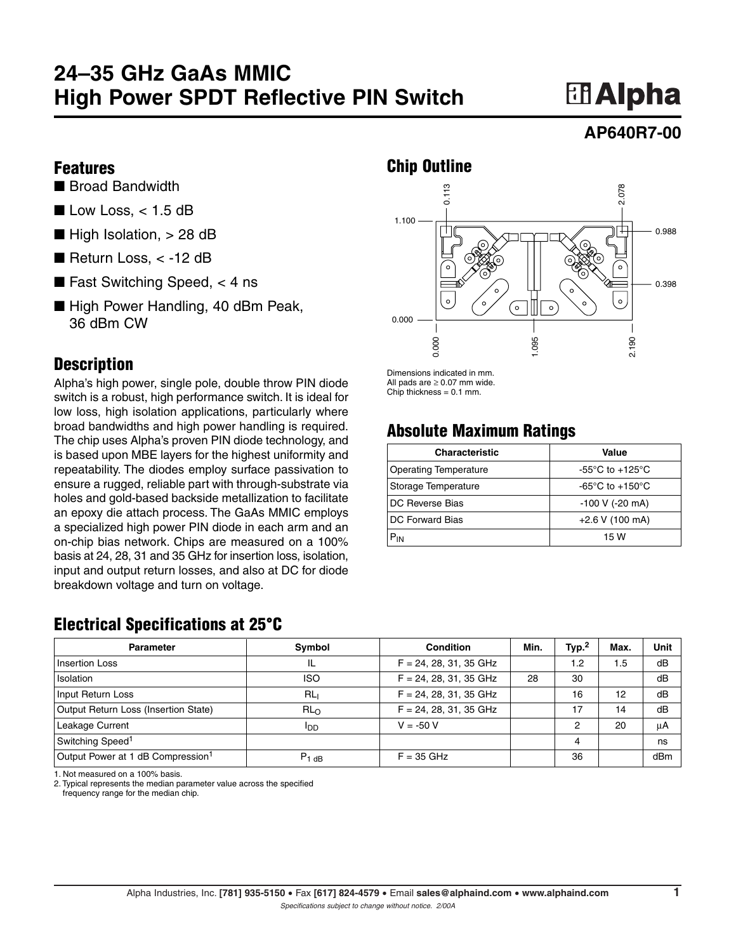## **24–35 GHz GaAs MMIC High Power SPDT Reflective PIN Switch**

# **田Alpha**

### **AP640R7-00**

#### **Features**

- Broad Bandwidth
- $\blacksquare$  Low Loss, < 1.5 dB
- $\blacksquare$  High Isolation,  $> 28$  dB
- Return Loss, < -12 dB
- Fast Switching Speed,  $<$  4 ns
- High Power Handling, 40 dBm Peak, 36 dBm CW

#### **Description**

Alpha's high power, single pole, double throw PIN diode switch is a robust, high performance switch. It is ideal for low loss, high isolation applications, particularly where broad bandwidths and high power handling is required. The chip uses Alpha's proven PIN diode technology, and is based upon MBE layers for the highest uniformity and repeatability. The diodes employ surface passivation to ensure a rugged, reliable part with through-substrate via holes and gold-based backside metallization to facilitate an epoxy die attach process. The GaAs MMIC employs a specialized high power PIN diode in each arm and an on-chip bias network. Chips are measured on a 100% basis at 24, 28, 31 and 35 GHz for insertion loss, isolation, input and output return losses, and also at DC for diode breakdown voltage and turn on voltage.

### **Chip Outline**



Dimensions indicated in mm. All pads are  $\geq$  0.07 mm wide. Chip thickness  $= 0.1$  mm.

## **Absolute Maximum Ratings**

| <b>Characteristic</b>        | Value                               |  |  |
|------------------------------|-------------------------------------|--|--|
| <b>Operating Temperature</b> | -55 $\degree$ C to +125 $\degree$ C |  |  |
| Storage Temperature          | -65 $\degree$ C to +150 $\degree$ C |  |  |
| DC Reverse Bias              | $-100$ V ( $-20$ mA)                |  |  |
| DC Forward Bias              | $+2.6$ V (100 mA)                   |  |  |
| $P_{IN}$                     | 15 W                                |  |  |

## **Electrical Specifications at 25°C**

| <b>Parameter</b>                              | Symbol          | <b>Condition</b>         | Min. | Type <sup>2</sup> | Max. | Unit |
|-----------------------------------------------|-----------------|--------------------------|------|-------------------|------|------|
| <b>Insertion Loss</b>                         | IL              | $F = 24, 28, 31, 35$ GHz |      | 1.2               | 1.5  | dB   |
| <b>Isolation</b>                              | <b>ISO</b>      | $F = 24, 28, 31, 35$ GHz | 28   | 30                |      | dB   |
| Input Return Loss                             | RL <sub>1</sub> | $F = 24, 28, 31, 35$ GHz |      | 16                | 12   | dB   |
| Output Return Loss (Insertion State)          | RL <sub>O</sub> | $F = 24, 28, 31, 35$ GHz |      | 17                | 14   | dB   |
| Leakage Current                               | <b>I</b> DD     | $V = -50 V$              |      | 2                 | 20   | μA   |
| Switching Speed <sup>1</sup>                  |                 |                          |      | 4                 |      | ns   |
| Output Power at 1 dB Compression <sup>1</sup> | $P_{1dB}$       | $F = 35$ GHz             |      | 36                |      | dBm  |

1. Not measured on a 100% basis.

2. Typical represents the median parameter value across the specified

frequency range for the median chip.